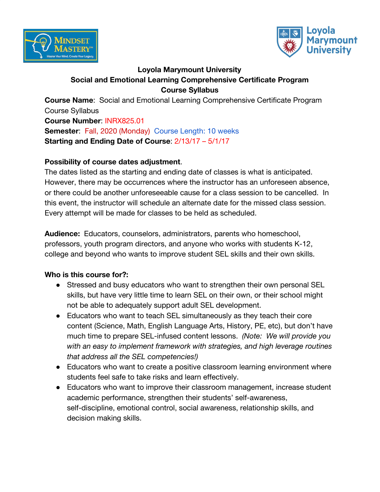



## **Loyola Marymount University Social and Emotional Learning Comprehensive Certificate Program Course Syllabus**

**Course Name**: Social and Emotional Learning Comprehensive Certificate Program Course Syllabus

**Course Number**: INRX825.01 **Semester: Fall, 2020 (Monday) Course Length: 10 weeks Starting and Ending Date of Course**: 2/13/17 – 5/1/17

#### **Possibility of course dates adjustment**.

The dates listed as the starting and ending date of classes is what is anticipated. However, there may be occurrences where the instructor has an unforeseen absence, or there could be another unforeseeable cause for a class session to be cancelled. In this event, the instructor will schedule an alternate date for the missed class session. Every attempt will be made for classes to be held as scheduled.

**Audience:** Educators, counselors, administrators, parents who homeschool, professors, youth program directors, and anyone who works with students K-12, college and beyond who wants to improve student SEL skills and their own skills.

## **Who is this course for?:**

- Stressed and busy educators who want to strengthen their own personal SEL skills, but have very little time to learn SEL on their own, or their school might not be able to adequately support adult SEL development.
- Educators who want to teach SEL simultaneously as they teach their core content (Science, Math, English Language Arts, History, PE, etc), but don't have much time to prepare SEL-infused content lessons. *(Note: We will provide you with an easy to implement framework with strategies, and high leverage routines that address all the SEL competencies!)*
- Educators who want to create a positive classroom learning environment where students feel safe to take risks and learn effectively.
- Educators who want to improve their classroom management, increase student academic performance, strengthen their students' self-awareness, self-discipline, emotional control, social awareness, relationship skills, and decision making skills.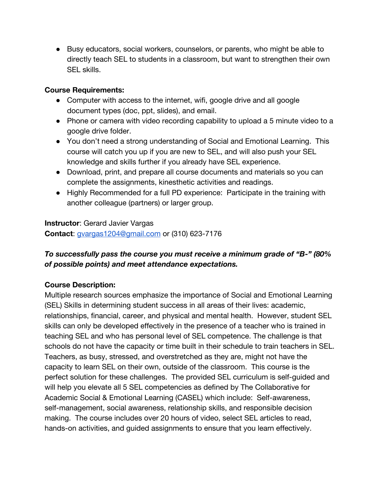● Busy educators, social workers, counselors, or parents, who might be able to directly teach SEL to students in a classroom, but want to strengthen their own SEL skills.

#### **Course Requirements:**

- Computer with access to the internet, wifi, google drive and all google document types (doc, ppt, slides), and email.
- Phone or camera with video recording capability to upload a 5 minute video to a google drive folder.
- You don't need a strong understanding of Social and Emotional Learning. This course will catch you up if you are new to SEL, and will also push your SEL knowledge and skills further if you already have SEL experience.
- Download, print, and prepare all course documents and materials so you can complete the assignments, kinesthetic activities and readings.
- Highly Recommended for a full PD experience: Participate in the training with another colleague (partners) or larger group.

#### **Instructor**: Gerard Javier Vargas

**Contact**: gvargas1204@gmail.com or (310) 623-7176

## *To successfully pass the course you must receive a minimum grade of "B-" (80% of possible points) and meet attendance expectations.*

## **Course Description:**

Multiple research sources emphasize the importance of Social and Emotional Learning (SEL) Skills in determining student success in all areas of their lives: academic, relationships, financial, career, and physical and mental health. However, student SEL skills can only be developed effectively in the presence of a teacher who is trained in teaching SEL and who has personal level of SEL competence. The challenge is that schools do not have the capacity or time built in their schedule to train teachers in SEL. Teachers, as busy, stressed, and overstretched as they are, might not have the capacity to learn SEL on their own, outside of the classroom. This course is the perfect solution for these challenges. The provided SEL curriculum is self-guided and will help you elevate all 5 SEL competencies as defined by The Collaborative for Academic Social & Emotional Learning (CASEL) which include: Self-awareness, self-management, social awareness, relationship skills, and responsible decision making. The course includes over 20 hours of video, select SEL articles to read, hands-on activities, and guided assignments to ensure that you learn effectively.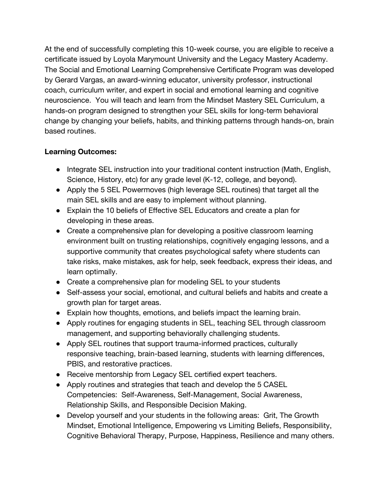At the end of successfully completing this 10-week course, you are eligible to receive a certificate issued by Loyola Marymount University and the Legacy Mastery Academy. The Social and Emotional Learning Comprehensive Certificate Program was developed by Gerard Vargas, an award-winning educator, university professor, instructional coach, curriculum writer, and expert in social and emotional learning and cognitive neuroscience. You will teach and learn from the Mindset Mastery SEL Curriculum, a hands-on program designed to strengthen your SEL skills for long-term behavioral change by changing your beliefs, habits, and thinking patterns through hands-on, brain based routines.

## **Learning Outcomes:**

- Integrate SEL instruction into your traditional content instruction (Math, English, Science, History, etc) for any grade level (K-12, college, and beyond).
- Apply the 5 SEL Powermoves (high leverage SEL routines) that target all the main SEL skills and are easy to implement without planning.
- Explain the 10 beliefs of Effective SEL Educators and create a plan for developing in these areas.
- Create a comprehensive plan for developing a positive classroom learning environment built on trusting relationships, cognitively engaging lessons, and a supportive community that creates psychological safety where students can take risks, make mistakes, ask for help, seek feedback, express their ideas, and learn optimally.
- Create a comprehensive plan for modeling SEL to your students
- Self-assess your social, emotional, and cultural beliefs and habits and create a growth plan for target areas.
- Explain how thoughts, emotions, and beliefs impact the learning brain.
- Apply routines for engaging students in SEL, teaching SEL through classroom management, and supporting behaviorally challenging students.
- Apply SEL routines that support trauma-informed practices, culturally responsive teaching, brain-based learning, students with learning differences, PBIS, and restorative practices.
- Receive mentorship from Legacy SEL certified expert teachers.
- Apply routines and strategies that teach and develop the 5 CASEL Competencies: Self-Awareness, Self-Management, Social Awareness, Relationship Skills, and Responsible Decision Making.
- Develop yourself and your students in the following areas: Grit, The Growth Mindset, Emotional Intelligence, Empowering vs Limiting Beliefs, Responsibility, Cognitive Behavioral Therapy, Purpose, Happiness, Resilience and many others.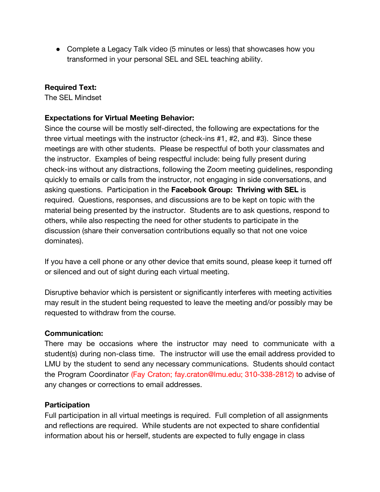• Complete a Legacy Talk video (5 minutes or less) that showcases how you transformed in your personal SEL and SEL teaching ability.

#### **Required Text:**

The SEL Mindset

#### **Expectations for Virtual Meeting Behavior:**

Since the course will be mostly self-directed, the following are expectations for the three virtual meetings with the instructor (check-ins #1, #2, and #3). Since these meetings are with other students. Please be respectful of both your classmates and the instructor. Examples of being respectful include: being fully present during check-ins without any distractions, following the Zoom meeting guidelines, responding quickly to emails or calls from the instructor, not engaging in side conversations, and asking questions. Participation in the **Facebook Group: Thriving with SEL** is required. Questions, responses, and discussions are to be kept on topic with the material being presented by the instructor. Students are to ask questions, respond to others, while also respecting the need for other students to participate in the discussion (share their conversation contributions equally so that not one voice dominates).

If you have a cell phone or any other device that emits sound, please keep it turned off or silenced and out of sight during each virtual meeting.

Disruptive behavior which is persistent or significantly interferes with meeting activities may result in the student being requested to leave the meeting and/or possibly may be requested to withdraw from the course.

#### **Communication:**

There may be occasions where the instructor may need to communicate with a student(s) during non-class time. The instructor will use the email address provided to LMU by the student to send any necessary communications. Students should contact the Program Coordinator (Fay Craton; fay.craton@lmu.edu; 310-338-2812) to advise of any changes or corrections to email addresses.

#### **Participation**

Full participation in all virtual meetings is required. Full completion of all assignments and reflections are required. While students are not expected to share confidential information about his or herself, students are expected to fully engage in class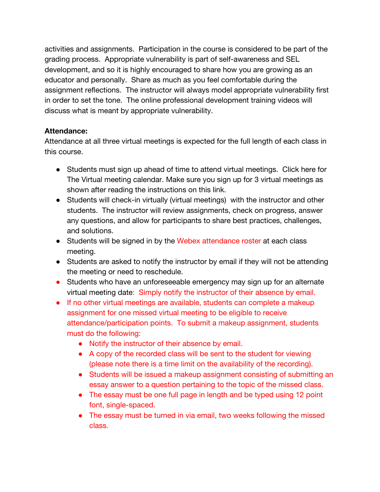activities and assignments. Participation in the course is considered to be part of the grading process. Appropriate vulnerability is part of self-awareness and SEL development, and so it is highly encouraged to share how you are growing as an educator and personally. Share as much as you feel comfortable during the assignment reflections. The instructor will always model appropriate vulnerability first in order to set the tone. The online professional development training videos will discuss what is meant by appropriate vulnerability.

#### **Attendance:**

Attendance at all three virtual meetings is expected for the full length of each class in this course.

- Students must sign up ahead of time to attend virtual meetings. Click here for The Virtual meeting calendar. Make sure you sign up for 3 virtual meetings as shown after reading the instructions on this link.
- Students will check-in virtually (virtual meetings) with the instructor and other students. The instructor will review assignments, check on progress, answer any questions, and allow for participants to share best practices, challenges, and solutions.
- Students will be signed in by the Webex attendance roster at each class meeting.
- Students are asked to notify the instructor by email if they will not be attending the meeting or need to reschedule.
- Students who have an unforeseeable emergency may sign up for an alternate virtual meeting date: Simply notify the instructor of their absence by email.
- If no other virtual meetings are available, students can complete a makeup assignment for one missed virtual meeting to be eligible to receive attendance/participation points. To submit a makeup assignment, students must do the following:
	- Notify the instructor of their absence by email.
	- A copy of the recorded class will be sent to the student for viewing (please note there is a time limit on the availability of the recording).
	- Students will be issued a makeup assignment consisting of submitting an essay answer to a question pertaining to the topic of the missed class.
	- The essay must be one full page in length and be typed using 12 point font, single-spaced.
	- The essay must be turned in via email, two weeks following the missed class.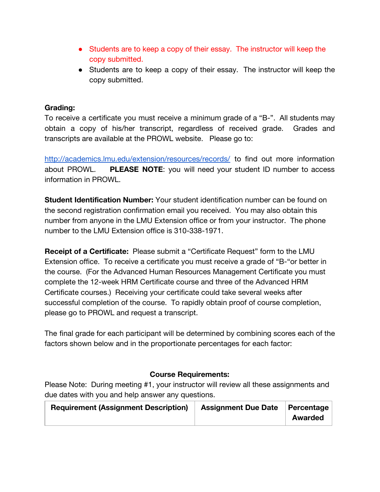- Students are to keep a copy of their essay. The instructor will keep the copy submitted.
- Students are to keep a copy of their essay. The instructor will keep the copy submitted.

#### **Grading:**

To receive a certificate you must receive a minimum grade of a "B-". All students may obtain a copy of his/her transcript, regardless of received grade. Grades and transcripts are available at the PROWL website. Please go to:

http://academics.lmu.edu/extension/resources/records/ to find out more information about PROWL. **PLEASE NOTE**: you will need your student ID number to access information in PROWL.

**Student Identification Number:** Your student identification number can be found on the second registration confirmation email you received. You may also obtain this number from anyone in the LMU Extension office or from your instructor. The phone number to the LMU Extension office is 310-338-1971.

**Receipt of a Certificate:** Please submit a "Certificate Request" form to the LMU Extension office. To receive a certificate you must receive a grade of "B-"or better in the course. (For the Advanced Human Resources Management Certificate you must complete the 12-week HRM Certificate course and three of the Advanced HRM Certificate courses.) Receiving your certificate could take several weeks after successful completion of the course. To rapidly obtain proof of course completion, please go to PROWL and request a transcript.

The final grade for each participant will be determined by combining scores each of the factors shown below and in the proportionate percentages for each factor:

#### **Course Requirements:**

Please Note: During meeting #1, your instructor will review all these assignments and due dates with you and help answer any questions.

| <b>Requirement (Assignment Description)</b> | <b>Assignment Due Date</b> | Percentage<br><b>Awarded</b> |
|---------------------------------------------|----------------------------|------------------------------|
|                                             |                            |                              |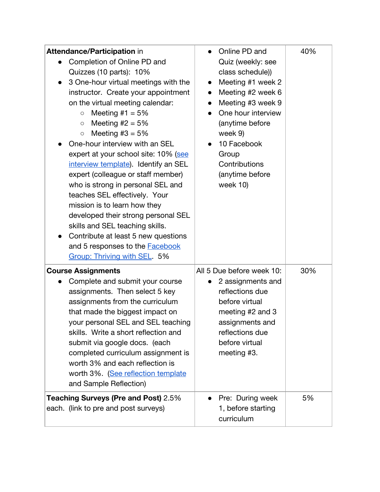| <b>Attendance/Participation in</b><br>Completion of Online PD and<br>Quizzes (10 parts): 10%<br>3 One-hour virtual meetings with the<br>$\bullet$<br>instructor. Create your appointment<br>on the virtual meeting calendar:<br>Meeting #1 = $5%$<br>$\circ$<br>Meeting $#2 = 5%$<br>$\bigcirc$<br>Meeting $#3 = 5%$<br>$\bigcirc$<br>One-hour interview with an SEL<br>expert at your school site: 10% (see<br>interview template). Identify an SEL<br>expert (colleague or staff member)<br>who is strong in personal SEL and<br>teaches SEL effectively. Your<br>mission is to learn how they<br>developed their strong personal SEL<br>skills and SEL teaching skills.<br>Contribute at least 5 new questions<br>and 5 responses to the <b>Facebook</b><br>Group: Thriving with SEL 5% | Online PD and<br>Quiz (weekly: see<br>class schedule))<br>Meeting #1 week 2<br>$\bullet$<br>Meeting #2 week 6<br>$\bullet$<br>Meeting #3 week 9<br>One hour interview<br>$\bullet$<br>(anytime before<br>week 9)<br>10 Facebook<br>Group<br>Contributions<br>(anytime before<br>week 10) | 40% |
|--------------------------------------------------------------------------------------------------------------------------------------------------------------------------------------------------------------------------------------------------------------------------------------------------------------------------------------------------------------------------------------------------------------------------------------------------------------------------------------------------------------------------------------------------------------------------------------------------------------------------------------------------------------------------------------------------------------------------------------------------------------------------------------------|------------------------------------------------------------------------------------------------------------------------------------------------------------------------------------------------------------------------------------------------------------------------------------------|-----|
| <b>Course Assignments</b><br>Complete and submit your course<br>$\bullet$<br>assignments. Then select 5 key<br>assignments from the curriculum<br>that made the biggest impact on<br>your personal SEL and SEL teaching<br>skills. Write a short reflection and<br>submit via google docs. (each<br>completed curriculum assignment is<br>worth 3% and each reflection is<br>worth 3%. (See reflection template<br>and Sample Reflection)                                                                                                                                                                                                                                                                                                                                                  | All 5 Due before week 10:<br>2 assignments and<br>reflections due<br>before virtual<br>meeting #2 and 3<br>assignments and<br>reflections due<br>before virtual<br>meeting #3.                                                                                                           | 30% |
| <b>Teaching Surveys (Pre and Post) 2.5%</b><br>each. (link to pre and post surveys)                                                                                                                                                                                                                                                                                                                                                                                                                                                                                                                                                                                                                                                                                                        | Pre: During week<br>1, before starting<br>curriculum                                                                                                                                                                                                                                     | 5%  |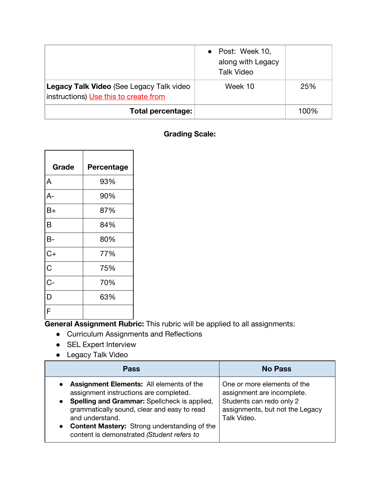|                                                                                          | • Post: Week 10,<br>along with Legacy<br><b>Talk Video</b> |      |
|------------------------------------------------------------------------------------------|------------------------------------------------------------|------|
| <b>Legacy Talk Video (See Legacy Talk video</b><br>instructions) Use this to create from | Week 10                                                    | 25%  |
| <b>Total percentage:</b>                                                                 |                                                            | 100% |

#### **Grading Scale:**

| Grade | Percentage |
|-------|------------|
| A     | 93%        |
| $A-$  | 90%        |
| B+    | 87%        |
| B     | 84%        |
| В-    | 80%        |
| $C+$  | 77%        |
| C     | 75%        |
| $C -$ | 70%        |
| D     | 63%        |
| F     |            |

**General Assignment Rubric:** This rubric will be applied to all assignments:

- Curriculum Assignments and Reflections
- SEL Expert Interview
- Legacy Talk Video

| <b>Pass</b>                                                                                                                                                                                                                                                                                                                                             | <b>No Pass</b>                                                                                                                          |
|---------------------------------------------------------------------------------------------------------------------------------------------------------------------------------------------------------------------------------------------------------------------------------------------------------------------------------------------------------|-----------------------------------------------------------------------------------------------------------------------------------------|
| <b>Assignment Elements:</b> All elements of the<br>$\bullet$<br>assignment instructions are completed.<br>Spelling and Grammar: Spellcheck is applied,<br>$\bullet$<br>grammatically sound, clear and easy to read<br>and understand.<br><b>Content Mastery:</b> Strong understanding of the<br>$\bullet$<br>content is demonstrated (Student refers to | One or more elements of the<br>assignment are incomplete.<br>Students can redo only 2<br>assignments, but not the Legacy<br>Talk Video. |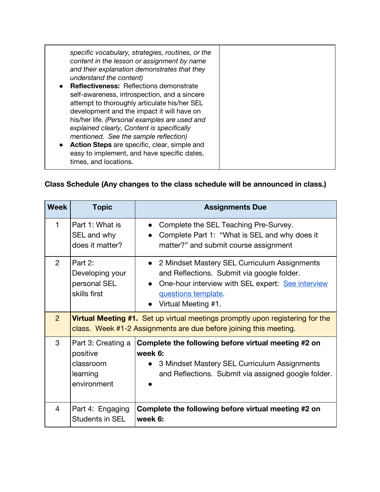## **Class Schedule (Any changes to the class schedule will be announced in class.)**

| <b>Week</b>    | <b>Topic</b>                                                           | <b>Assignments Due</b>                                                                                                                                                                          |
|----------------|------------------------------------------------------------------------|-------------------------------------------------------------------------------------------------------------------------------------------------------------------------------------------------|
| 1              | Part 1: What is<br>SEL and why<br>does it matter?                      | Complete the SEL Teaching Pre-Survey.<br>Complete Part 1: "What is SEL and why does it<br>matter?" and submit course assignment                                                                 |
| $\overline{2}$ | Part 2:<br>Developing your<br>personal SEL<br>skills first             | • 2 Mindset Mastery SEL Curriculum Assignments<br>and Reflections. Submit via google folder.<br>One-hour interview with SEL expert: See interview<br>questions template.<br>Virtual Meeting #1. |
| 2 <sup>1</sup> |                                                                        | <b>Virtual Meeting #1.</b> Set up virtual meetings promptly upon registering for the<br>class. Week #1-2 Assignments are due before joining this meeting.                                       |
| 3              | Part 3: Creating a<br>positive<br>classroom<br>learning<br>environment | Complete the following before virtual meeting #2 on<br>week 6:<br>3 Mindset Mastery SEL Curriculum Assignments<br>and Reflections. Submit via assigned google folder.                           |
| 4              | Part 4: Engaging<br>Students in SEL                                    | Complete the following before virtual meeting #2 on<br>week 6:                                                                                                                                  |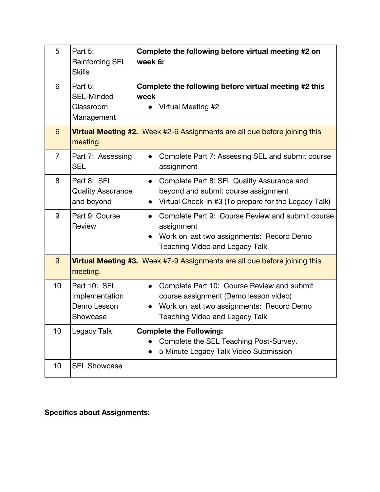| 5              | Part 5:<br><b>Reinforcing SEL</b><br><b>Skills</b>        | Complete the following before virtual meeting #2 on<br>week 6:                                                                                                            |
|----------------|-----------------------------------------------------------|---------------------------------------------------------------------------------------------------------------------------------------------------------------------------|
| 6              | Part 6:<br><b>SEL-Minded</b><br>Classroom<br>Management   | Complete the following before virtual meeting #2 this<br>week<br>Virtual Meeting #2                                                                                       |
| $6\phantom{1}$ | meeting.                                                  | <b>Virtual Meeting #2.</b> Week #2-6 Assignments are all due before joining this                                                                                          |
| $\overline{7}$ | Part 7: Assessing<br><b>SEL</b>                           | Complete Part 7: Assessing SEL and submit course<br>assignment                                                                                                            |
| 8              | Part 8: SEL<br><b>Quality Assurance</b><br>and beyond     | Complete Part 8: SEL Quality Assurance and<br>$\bullet$<br>beyond and submit course assignment<br>Virtual Check-in #3 (To prepare for the Legacy Talk)                    |
| 9              | Part 9: Course<br>Review                                  | Complete Part 9: Course Review and submit course<br>assignment<br>Work on last two assignments: Record Demo<br><b>Teaching Video and Legacy Talk</b>                      |
| 9              | meeting.                                                  | <b>Virtual Meeting #3.</b> Week #7-9 Assignments are all due before joining this                                                                                          |
| 10             | Part 10: SEL<br>Implementation<br>Demo Lesson<br>Showcase | Complete Part 10: Course Review and submit<br>course assignment (Demo lesson video)<br>Work on last two assignments: Record Demo<br><b>Teaching Video and Legacy Talk</b> |
| 10             | Legacy Talk                                               | <b>Complete the Following:</b><br>Complete the SEL Teaching Post-Survey.<br>5 Minute Legacy Talk Video Submission                                                         |
| 10             | <b>SEL Showcase</b>                                       |                                                                                                                                                                           |

# **Specifics about Assignments:**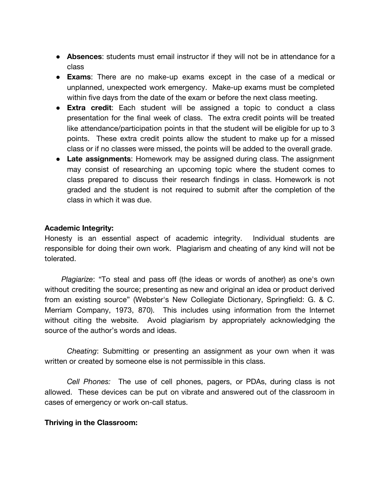- **Absences**: students must email instructor if they will not be in attendance for a class
- **Exams**: There are no make-up exams except in the case of a medical or unplanned, unexpected work emergency. Make-up exams must be completed within five days from the date of the exam or before the next class meeting.
- **Extra credit**: Each student will be assigned a topic to conduct a class presentation for the final week of class. The extra credit points will be treated like attendance/participation points in that the student will be eligible for up to 3 points. These extra credit points allow the student to make up for a missed class or if no classes were missed, the points will be added to the overall grade.
- **Late assignments**: Homework may be assigned during class. The assignment may consist of researching an upcoming topic where the student comes to class prepared to discuss their research findings in class. Homework is not graded and the student is not required to submit after the completion of the class in which it was due.

#### **Academic Integrity:**

Honesty is an essential aspect of academic integrity. Individual students are responsible for doing their own work. Plagiarism and cheating of any kind will not be tolerated.

*Plagiarize*: "To steal and pass off (the ideas or words of another) as one's own without crediting the source; presenting as new and original an idea or product derived from an existing source" (Webster's New Collegiate Dictionary, Springfield: G. & C. Merriam Company, 1973, 870). This includes using information from the Internet without citing the website. Avoid plagiarism by appropriately acknowledging the source of the author's words and ideas.

*Cheating*: Submitting or presenting an assignment as your own when it was written or created by someone else is not permissible in this class.

*Cell Phones:* The use of cell phones, pagers, or PDAs, during class is not allowed. These devices can be put on vibrate and answered out of the classroom in cases of emergency or work on-call status.

#### **Thriving in the Classroom:**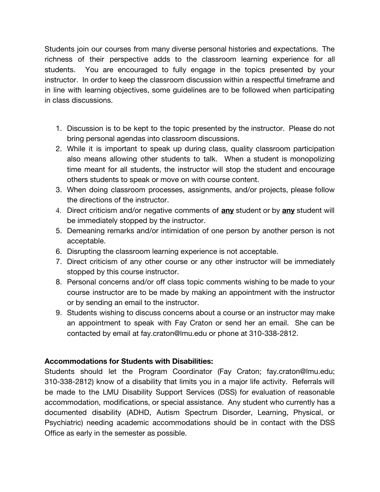Students join our courses from many diverse personal histories and expectations. The richness of their perspective adds to the classroom learning experience for all students. You are encouraged to fully engage in the topics presented by your instructor. In order to keep the classroom discussion within a respectful timeframe and in line with learning objectives, some guidelines are to be followed when participating in class discussions.

- 1. Discussion is to be kept to the topic presented by the instructor. Please do not bring personal agendas into classroom discussions.
- 2. While it is important to speak up during class, quality classroom participation also means allowing other students to talk. When a student is monopolizing time meant for all students, the instructor will stop the student and encourage others students to speak or move on with course content.
- 3. When doing classroom processes, assignments, and/or projects, please follow the directions of the instructor.
- 4. Direct criticism and/or negative comments of **any** student or by **any** student will be immediately stopped by the instructor.
- 5. Demeaning remarks and/or intimidation of one person by another person is not acceptable.
- 6. Disrupting the classroom learning experience is not acceptable.
- 7. Direct criticism of any other course or any other instructor will be immediately stopped by this course instructor.
- 8. Personal concerns and/or off class topic comments wishing to be made to your course instructor are to be made by making an appointment with the instructor or by sending an email to the instructor.
- 9. Students wishing to discuss concerns about a course or an instructor may make an appointment to speak with Fay Craton or send her an email. She can be contacted by email at fay.craton@lmu.edu or phone at 310-338-2812.

#### **Accommodations for Students with Disabilities:**

Students should let the Program Coordinator (Fay Craton; fay.craton@lmu.edu; 310-338-2812) know of a disability that limits you in a major life activity. Referrals will be made to the LMU Disability Support Services (DSS) for evaluation of reasonable accommodation, modifications, or special assistance. Any student who currently has a documented disability (ADHD, Autism Spectrum Disorder, Learning, Physical, or Psychiatric) needing academic accommodations should be in contact with the DSS Office as early in the semester as possible.